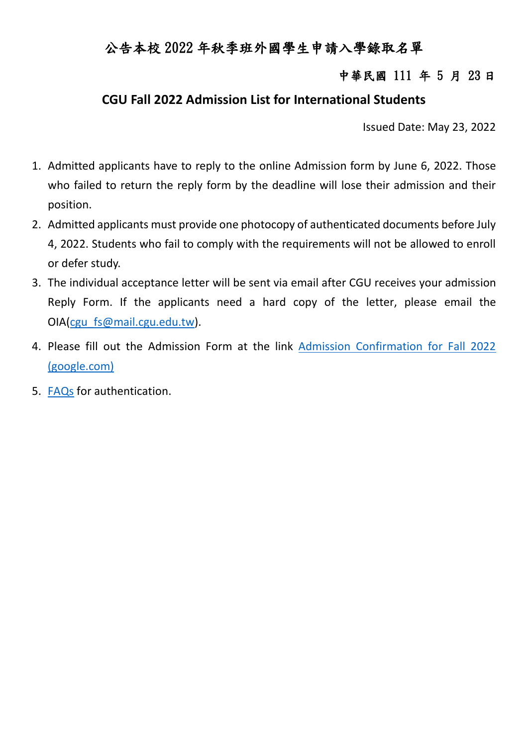## 公告本校 2022 年秋季班外國學生申請入學錄取名單

#### 中華民國 111 年 5 月 23 日

#### **CGU Fall 2022 Admission List for International Students**

Issued Date: May 23, 2022

- 1. Admitted applicants have to reply to the online Admission form by June 6, 2022. Those who failed to return the reply form by the deadline will lose their admission and their position.
- 2. Admitted applicants must provide one photocopy of authenticated documents before July 4, 2022. Students who fail to comply with the requirements will not be allowed to enroll or defer study.
- 3. The individual acceptance letter will be sent via email after CGU receives your admission Reply Form. If the applicants need a hard copy of the letter, please email the OIA[\(cgu\\_fs@mail.cgu.edu.tw\)](mailto:cgu_fs@mail.cgu.edu.tw).
- 4. Please fill out the Admission Form at the link [Admission Confirmation for Fall 2022](https://reurl.cc/Er4yxm)  [\(google.com\)](https://reurl.cc/Er4yxm)
- 5. [FAQs](https://oia.cgu.edu.tw/var/file/15/1015/img/2755/faq.html) for authentication.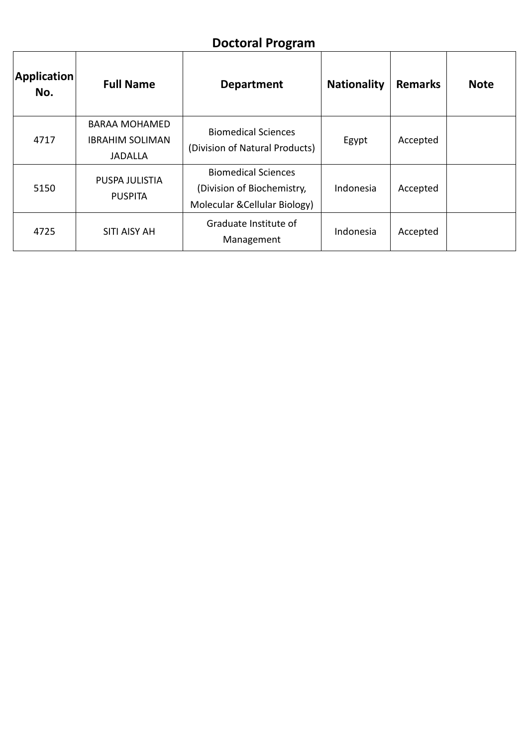## **Doctoral Program**

| Application<br>No. | <b>Full Name</b>                                                 | <b>Department</b>                                                                         | <b>Nationality</b> | <b>Remarks</b> | <b>Note</b> |
|--------------------|------------------------------------------------------------------|-------------------------------------------------------------------------------------------|--------------------|----------------|-------------|
| 4717               | <b>BARAA MOHAMED</b><br><b>IBRAHIM SOLIMAN</b><br><b>JADALLA</b> | <b>Biomedical Sciences</b><br>(Division of Natural Products)                              | Egypt              | Accepted       |             |
| 5150               | PUSPA JULISTIA<br><b>PUSPITA</b>                                 | <b>Biomedical Sciences</b><br>(Division of Biochemistry,<br>Molecular & Cellular Biology) | Indonesia          | Accepted       |             |
| 4725               | <b>SITI AISY AH</b>                                              | Graduate Institute of<br>Management                                                       | Indonesia          | Accepted       |             |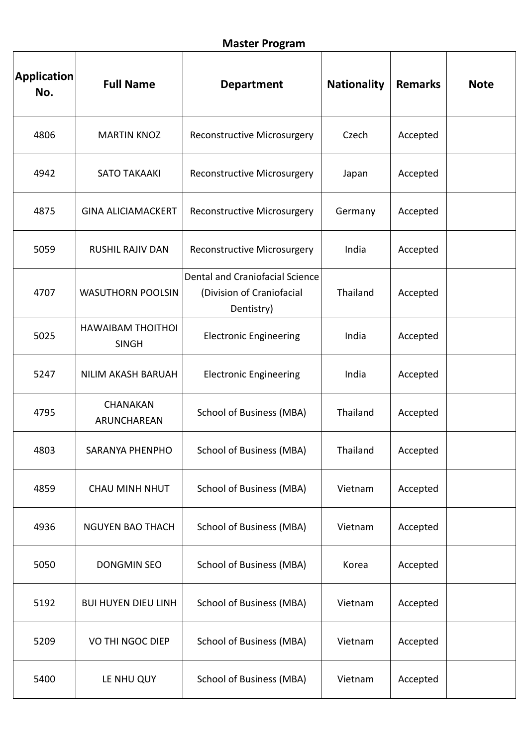| <b>Application</b><br>No. | <b>Full Name</b>                         | <b>Department</b>                                                          | <b>Nationality</b> | <b>Remarks</b> | <b>Note</b> |
|---------------------------|------------------------------------------|----------------------------------------------------------------------------|--------------------|----------------|-------------|
| 4806                      | <b>MARTIN KNOZ</b>                       | <b>Reconstructive Microsurgery</b>                                         | Czech              | Accepted       |             |
| 4942                      | <b>SATO TAKAAKI</b>                      | Reconstructive Microsurgery                                                | Japan              | Accepted       |             |
| 4875                      | <b>GINA ALICIAMACKERT</b>                | <b>Reconstructive Microsurgery</b>                                         | Germany            | Accepted       |             |
| 5059                      | <b>RUSHIL RAJIV DAN</b>                  | Reconstructive Microsurgery                                                | India              | Accepted       |             |
| 4707                      | <b>WASUTHORN POOLSIN</b>                 | Dental and Craniofacial Science<br>(Division of Craniofacial<br>Dentistry) | Thailand           | Accepted       |             |
| 5025                      | <b>HAWAIBAM THOITHOI</b><br><b>SINGH</b> | <b>Electronic Engineering</b>                                              | India              | Accepted       |             |
| 5247                      | NILIM AKASH BARUAH                       | <b>Electronic Engineering</b>                                              | India              | Accepted       |             |
| 4795                      | CHANAKAN<br>ARUNCHAREAN                  | <b>School of Business (MBA)</b>                                            | Thailand           | Accepted       |             |
| 4803                      | SARANYA PHENPHO                          | <b>School of Business (MBA)</b>                                            | Thailand           | Accepted       |             |
| 4859                      | CHAU MINH NHUT                           | <b>School of Business (MBA)</b>                                            | Vietnam            | Accepted       |             |
| 4936                      | <b>NGUYEN BAO THACH</b>                  | <b>School of Business (MBA)</b>                                            | Vietnam            | Accepted       |             |
| 5050                      | <b>DONGMIN SEO</b>                       | <b>School of Business (MBA)</b>                                            | Korea              | Accepted       |             |
| 5192                      | <b>BUI HUYEN DIEU LINH</b>               | <b>School of Business (MBA)</b>                                            | Vietnam            | Accepted       |             |
| 5209                      | VO THI NGOC DIEP                         | <b>School of Business (MBA)</b>                                            | Vietnam            | Accepted       |             |
| 5400                      | LE NHU QUY                               | <b>School of Business (MBA)</b>                                            | Vietnam            | Accepted       |             |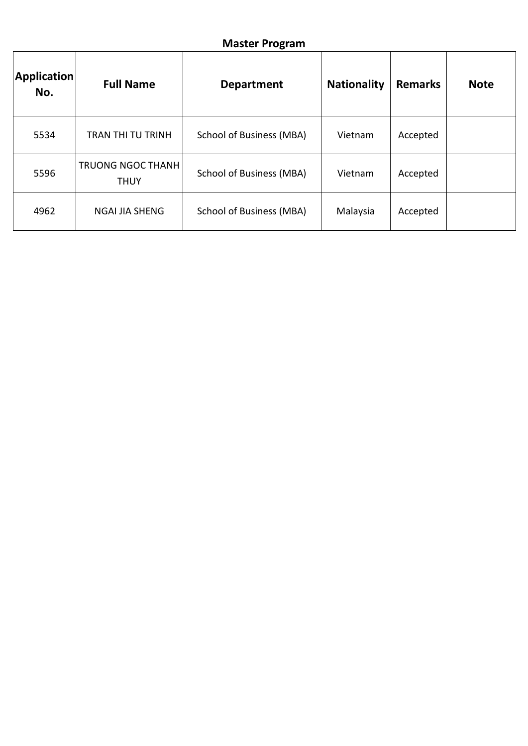#### **Master Program**

| Application<br>No. | <b>Full Name</b>                        | <b>Department</b>               | <b>Nationality</b> | <b>Remarks</b> | <b>Note</b> |
|--------------------|-----------------------------------------|---------------------------------|--------------------|----------------|-------------|
| 5534               | TRAN THI TU TRINH                       | <b>School of Business (MBA)</b> | Vietnam            | Accepted       |             |
| 5596               | <b>TRUONG NGOC THANH</b><br><b>THUY</b> | <b>School of Business (MBA)</b> | Vietnam            | Accepted       |             |
| 4962               | <b>NGAI JIA SHENG</b>                   | <b>School of Business (MBA)</b> | Malaysia           | Accepted       |             |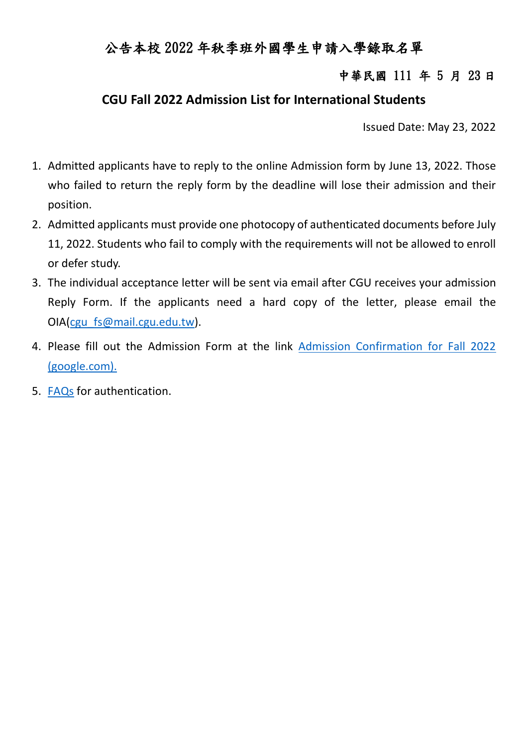## 公告本校 2022 年秋季班外國學生申請入學錄取名單

#### 中華民國 111 年 5 月 23 日

#### **CGU Fall 2022 Admission List for International Students**

Issued Date: May 23, 2022

- 1. Admitted applicants have to reply to the online Admission form by June 13, 2022. Those who failed to return the reply form by the deadline will lose their admission and their position.
- 2. Admitted applicants must provide one photocopy of authenticated documents before July 11, 2022. Students who fail to comply with the requirements will not be allowed to enroll or defer study.
- 3. The individual acceptance letter will be sent via email after CGU receives your admission Reply Form. If the applicants need a hard copy of the letter, please email the OIA[\(cgu\\_fs@mail.cgu.edu.tw\)](mailto:cgu_fs@mail.cgu.edu.tw).
- 4. Please fill out the Admission Form at the link [Admission Confirmation for Fall 2022](https://reurl.cc/1Zv2nY)  [\(google.com\).](https://reurl.cc/1Zv2nY)
- 5. [FAQs](https://oia.cgu.edu.tw/var/file/15/1015/img/2755/faq.html) for authentication.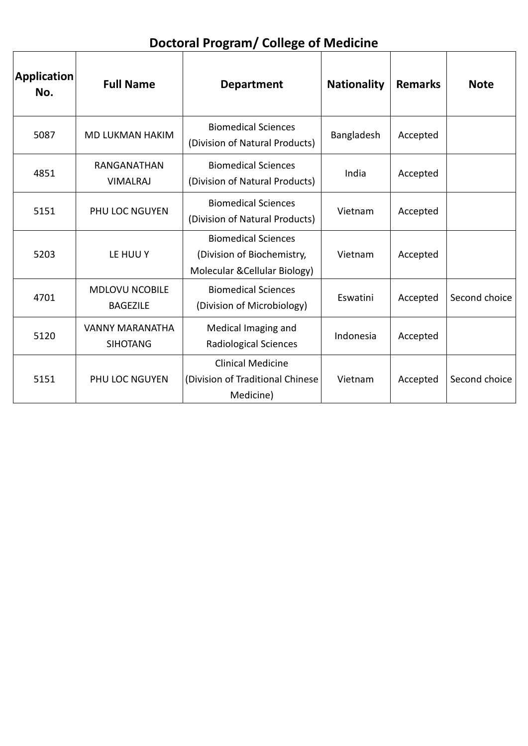**Doctoral Program/ College of Medicine**

٦

| <b>Application</b><br>No. | <b>Full Name</b>                          | <b>Department</b>                                                                         | <b>Nationality</b> | <b>Remarks</b> | <b>Note</b>   |
|---------------------------|-------------------------------------------|-------------------------------------------------------------------------------------------|--------------------|----------------|---------------|
| 5087                      | <b>MD LUKMAN HAKIM</b>                    | <b>Biomedical Sciences</b><br>(Division of Natural Products)                              | Bangladesh         | Accepted       |               |
| 4851                      | RANGANATHAN<br><b>VIMALRAJ</b>            | <b>Biomedical Sciences</b><br>(Division of Natural Products)                              | India              | Accepted       |               |
| 5151                      | <b>PHU LOC NGUYEN</b>                     | <b>Biomedical Sciences</b><br>(Division of Natural Products)                              | Vietnam            | Accepted       |               |
| 5203                      | LE HUU Y                                  | <b>Biomedical Sciences</b><br>(Division of Biochemistry,<br>Molecular & Cellular Biology) | Vietnam            | Accepted       |               |
| 4701                      | <b>MDLOVU NCOBILE</b><br><b>BAGEZILE</b>  | <b>Biomedical Sciences</b><br>(Division of Microbiology)                                  | Eswatini           | Accepted       | Second choice |
| 5120                      | <b>VANNY MARANATHA</b><br><b>SIHOTANG</b> | Medical Imaging and<br><b>Radiological Sciences</b>                                       | Indonesia          | Accepted       |               |
| 5151                      | PHU LOC NGUYEN                            | <b>Clinical Medicine</b><br>(Division of Traditional Chinese<br>Medicine)                 | Vietnam            | Accepted       | Second choice |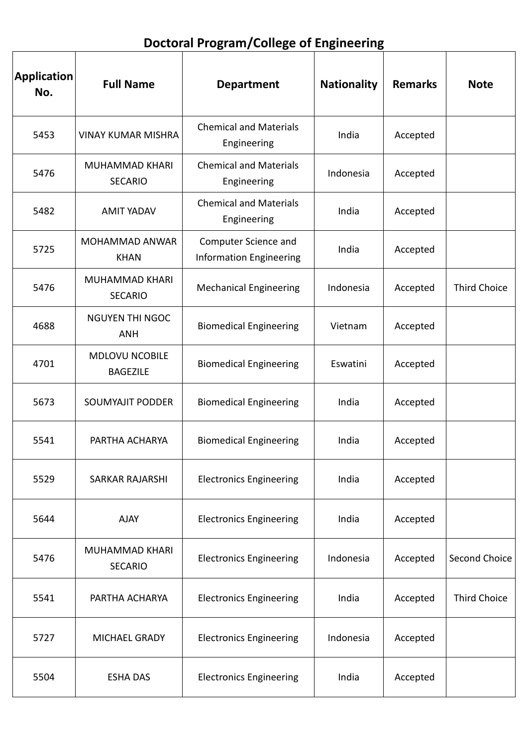# **Doctoral Program/College of Engineering**

| <b>Application</b><br>No. | <b>Full Name</b>                         | <b>Department</b>                                      | <b>Nationality</b> | <b>Remarks</b> | <b>Note</b>         |
|---------------------------|------------------------------------------|--------------------------------------------------------|--------------------|----------------|---------------------|
| 5453                      | <b>VINAY KUMAR MISHRA</b>                | <b>Chemical and Materials</b><br>Engineering           | India              | Accepted       |                     |
| 5476                      | MUHAMMAD KHARI<br><b>SECARIO</b>         | <b>Chemical and Materials</b><br>Engineering           | Indonesia          | Accepted       |                     |
| 5482                      | <b>AMIT YADAV</b>                        | <b>Chemical and Materials</b><br>Engineering           | India              | Accepted       |                     |
| 5725                      | <b>MOHAMMAD ANWAR</b><br><b>KHAN</b>     | Computer Science and<br><b>Information Engineering</b> | India              | Accepted       |                     |
| 5476                      | <b>MUHAMMAD KHARI</b><br><b>SECARIO</b>  | <b>Mechanical Engineering</b>                          | Indonesia          | Accepted       | <b>Third Choice</b> |
| 4688                      | <b>NGUYEN THI NGOC</b><br><b>ANH</b>     | <b>Biomedical Engineering</b>                          | Vietnam            | Accepted       |                     |
| 4701                      | <b>MDLOVU NCOBILE</b><br><b>BAGEZILE</b> | <b>Biomedical Engineering</b>                          | Eswatini           | Accepted       |                     |
| 5673                      | <b>SOUMYAJIT PODDER</b>                  | <b>Biomedical Engineering</b>                          | India              | Accepted       |                     |
| 5541                      | PARTHA ACHARYA                           | <b>Biomedical Engineering</b>                          | India              | Accepted       |                     |
| 5529                      | <b>SARKAR RAJARSHI</b>                   | <b>Electronics Engineering</b>                         | India              | Accepted       |                     |
| 5644                      | <b>AJAY</b>                              | <b>Electronics Engineering</b>                         | India              | Accepted       |                     |
| 5476                      | <b>MUHAMMAD KHARI</b><br><b>SECARIO</b>  | <b>Electronics Engineering</b>                         | Indonesia          | Accepted       | Second Choice       |
| 5541                      | PARTHA ACHARYA                           | <b>Electronics Engineering</b>                         | India              | Accepted       | <b>Third Choice</b> |
| 5727                      | MICHAEL GRADY                            | <b>Electronics Engineering</b>                         | Indonesia          | Accepted       |                     |
| 5504                      | <b>ESHA DAS</b>                          | <b>Electronics Engineering</b>                         | India              | Accepted       |                     |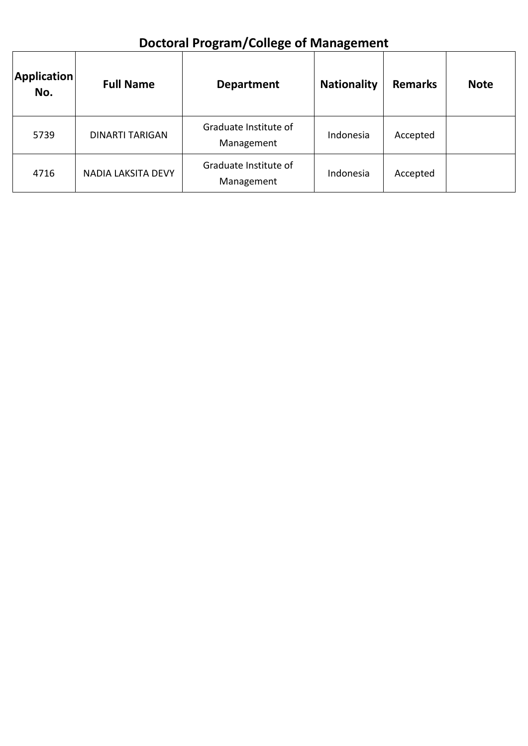# **Doctoral Program/College of Management**

| <b>Application</b><br>No. | <b>Full Name</b>          | <b>Department</b>                   | <b>Nationality</b> | <b>Remarks</b> | <b>Note</b> |
|---------------------------|---------------------------|-------------------------------------|--------------------|----------------|-------------|
| 5739                      | <b>DINARTI TARIGAN</b>    | Graduate Institute of<br>Management | Indonesia          | Accepted       |             |
| 4716                      | <b>NADIA LAKSITA DEVY</b> | Graduate Institute of<br>Management | Indonesia          | Accepted       |             |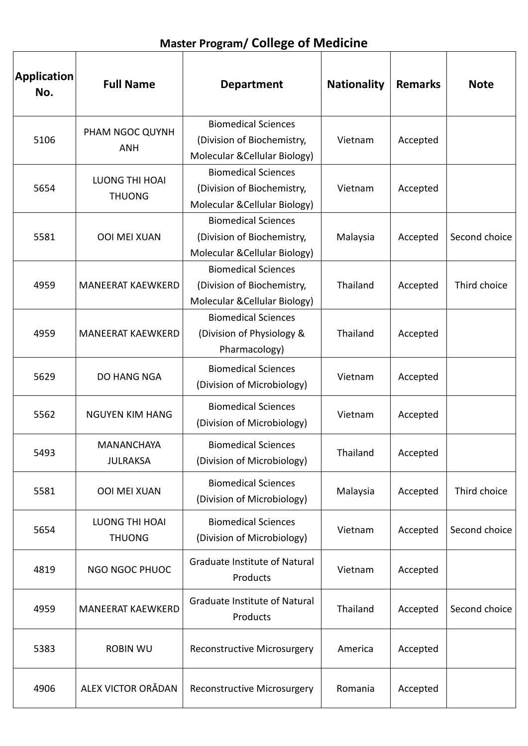| <b>Application</b><br>No. | <b>Full Name</b>                       | <b>Department</b>                                                                         | <b>Nationality</b> | <b>Remarks</b> | <b>Note</b>   |
|---------------------------|----------------------------------------|-------------------------------------------------------------------------------------------|--------------------|----------------|---------------|
| 5106                      | PHAM NGOC QUYNH<br><b>ANH</b>          | <b>Biomedical Sciences</b><br>(Division of Biochemistry,<br>Molecular & Cellular Biology) | Vietnam            | Accepted       |               |
| 5654                      | <b>LUONG THI HOAI</b><br><b>THUONG</b> | <b>Biomedical Sciences</b><br>(Division of Biochemistry,<br>Molecular & Cellular Biology) | Vietnam            | Accepted       |               |
| 5581                      | <b>OOI MEI XUAN</b>                    | <b>Biomedical Sciences</b><br>(Division of Biochemistry,<br>Molecular & Cellular Biology) | Malaysia           | Accepted       | Second choice |
| 4959                      | <b>MANEERAT KAEWKERD</b>               | <b>Biomedical Sciences</b><br>(Division of Biochemistry,<br>Molecular & Cellular Biology) | Thailand           | Accepted       | Third choice  |
| 4959                      | <b>MANEERAT KAEWKERD</b>               | <b>Biomedical Sciences</b><br>(Division of Physiology &<br>Pharmacology)                  | Thailand           | Accepted       |               |
| 5629                      | DO HANG NGA                            | <b>Biomedical Sciences</b><br>(Division of Microbiology)                                  | Vietnam            | Accepted       |               |
| 5562                      | <b>NGUYEN KIM HANG</b>                 | <b>Biomedical Sciences</b><br>(Division of Microbiology)                                  | Vietnam            | Accepted       |               |
| 5493                      | <b>MANANCHAYA</b><br><b>JULRAKSA</b>   | <b>Biomedical Sciences</b><br>(Division of Microbiology)                                  | Thailand           | Accepted       |               |
| 5581                      | <b>OOI MEI XUAN</b>                    | <b>Biomedical Sciences</b><br>(Division of Microbiology)                                  | Malaysia           | Accepted       | Third choice  |
| 5654                      | <b>LUONG THI HOAI</b><br><b>THUONG</b> | <b>Biomedical Sciences</b><br>(Division of Microbiology)                                  | Vietnam            | Accepted       | Second choice |
| 4819                      | NGO NGOC PHUOC                         | Graduate Institute of Natural<br>Products                                                 | Vietnam            | Accepted       |               |
| 4959                      | <b>MANEERAT KAEWKERD</b>               | <b>Graduate Institute of Natural</b><br>Products                                          | Thailand           | Accepted       | Second choice |
| 5383                      | <b>ROBIN WU</b>                        | Reconstructive Microsurgery                                                               | America            | Accepted       |               |
| 4906                      | ALEX VICTOR ORĂDAN                     | <b>Reconstructive Microsurgery</b>                                                        | Romania            | Accepted       |               |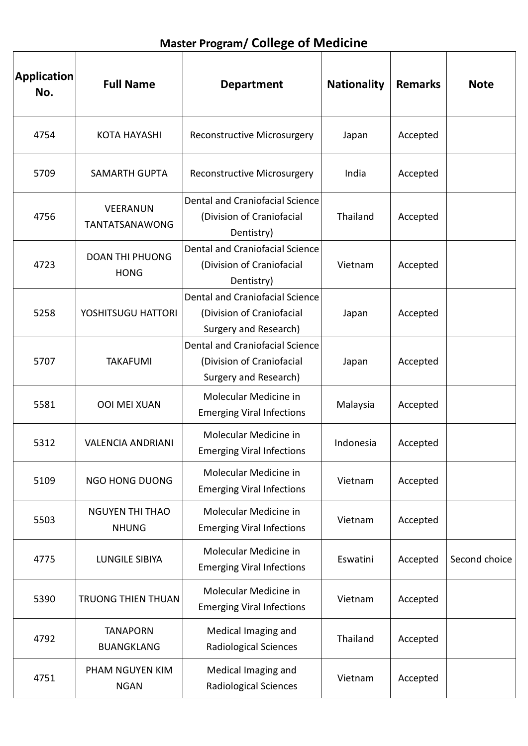## **Master Program/ College of Medicine**

| <b>Application</b><br>No. | <b>Full Name</b>                         | <b>Department</b>                                                                     | <b>Nationality</b> | <b>Remarks</b> | <b>Note</b>   |
|---------------------------|------------------------------------------|---------------------------------------------------------------------------------------|--------------------|----------------|---------------|
| 4754                      | <b>KOTA HAYASHI</b>                      | <b>Reconstructive Microsurgery</b>                                                    | Japan              | Accepted       |               |
| 5709                      | <b>SAMARTH GUPTA</b>                     | Reconstructive Microsurgery                                                           | India              | Accepted       |               |
| 4756                      | <b>VEERANUN</b><br><b>TANTATSANAWONG</b> | Dental and Craniofacial Science<br>(Division of Craniofacial<br>Dentistry)            | Thailand           | Accepted       |               |
| 4723                      | <b>DOAN THI PHUONG</b><br><b>HONG</b>    | Dental and Craniofacial Science<br>(Division of Craniofacial<br>Dentistry)            | Vietnam            | Accepted       |               |
| 5258                      | YOSHITSUGU HATTORI                       | Dental and Craniofacial Science<br>(Division of Craniofacial<br>Surgery and Research) | Japan              | Accepted       |               |
| 5707                      | <b>TAKAFUMI</b>                          | Dental and Craniofacial Science<br>(Division of Craniofacial<br>Surgery and Research) | Japan              | Accepted       |               |
| 5581                      | <b>OOI MEI XUAN</b>                      | Molecular Medicine in<br><b>Emerging Viral Infections</b>                             | Malaysia           | Accepted       |               |
| 5312                      | <b>VALENCIA ANDRIANI</b>                 | Molecular Medicine in<br><b>Emerging Viral Infections</b>                             | Indonesia          | Accepted       |               |
| 5109                      | <b>NGO HONG DUONG</b>                    | Molecular Medicine in<br><b>Emerging Viral Infections</b>                             | Vietnam            | Accepted       |               |
| 5503                      | <b>NGUYEN THI THAO</b><br><b>NHUNG</b>   | Molecular Medicine in<br><b>Emerging Viral Infections</b>                             | Vietnam            | Accepted       |               |
| 4775                      | <b>LUNGILE SIBIYA</b>                    | Molecular Medicine in<br><b>Emerging Viral Infections</b>                             | Eswatini           | Accepted       | Second choice |
| 5390                      | <b>TRUONG THIEN THUAN</b>                | Molecular Medicine in<br><b>Emerging Viral Infections</b>                             | Vietnam            | Accepted       |               |
| 4792                      | <b>TANAPORN</b><br><b>BUANGKLANG</b>     | Medical Imaging and<br><b>Radiological Sciences</b>                                   | Thailand           | Accepted       |               |
| 4751                      | PHAM NGUYEN KIM<br><b>NGAN</b>           | Medical Imaging and<br><b>Radiological Sciences</b>                                   | Vietnam            | Accepted       |               |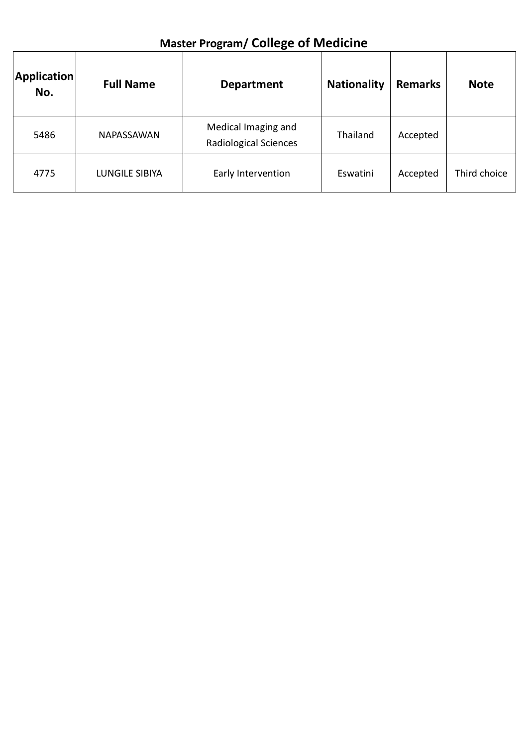| <b>Application</b><br>No. | <b>Full Name</b>      | <b>Department</b>                                   | <b>Nationality</b> | <b>Remarks</b> | <b>Note</b>  |
|---------------------------|-----------------------|-----------------------------------------------------|--------------------|----------------|--------------|
| 5486                      | NAPASSAWAN            | Medical Imaging and<br><b>Radiological Sciences</b> | Thailand           | Accepted       |              |
| 4775                      | <b>LUNGILE SIBIYA</b> | Early Intervention                                  | Eswatini           | Accepted       | Third choice |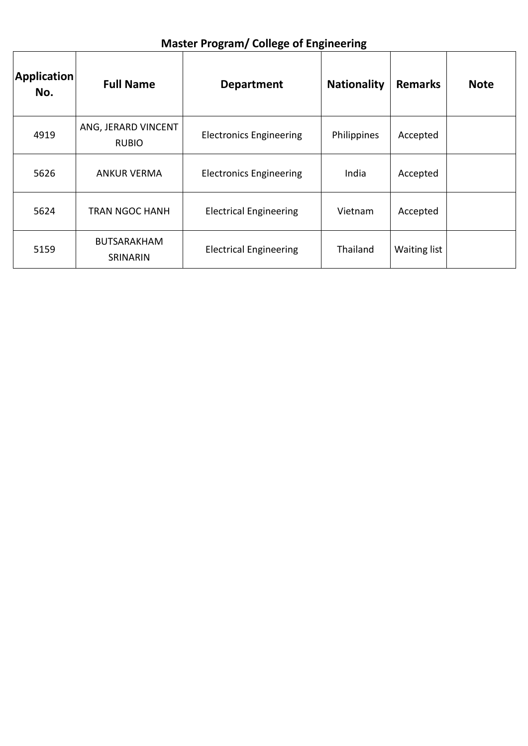| <b>Application</b><br>No. | <b>Full Name</b>                    | <b>Department</b>              | <b>Nationality</b> | <b>Remarks</b> | <b>Note</b> |
|---------------------------|-------------------------------------|--------------------------------|--------------------|----------------|-------------|
| 4919                      | ANG, JERARD VINCENT<br><b>RUBIO</b> | <b>Electronics Engineering</b> | Philippines        | Accepted       |             |
| 5626                      | <b>ANKUR VERMA</b>                  | <b>Electronics Engineering</b> | India              | Accepted       |             |
| 5624                      | <b>TRAN NGOC HANH</b>               | <b>Electrical Engineering</b>  | Vietnam            | Accepted       |             |
| 5159                      | <b>BUTSARAKHAM</b><br>SRINARIN      | <b>Electrical Engineering</b>  | Thailand           | Waiting list   |             |

#### **Master Program/ College of Engineering**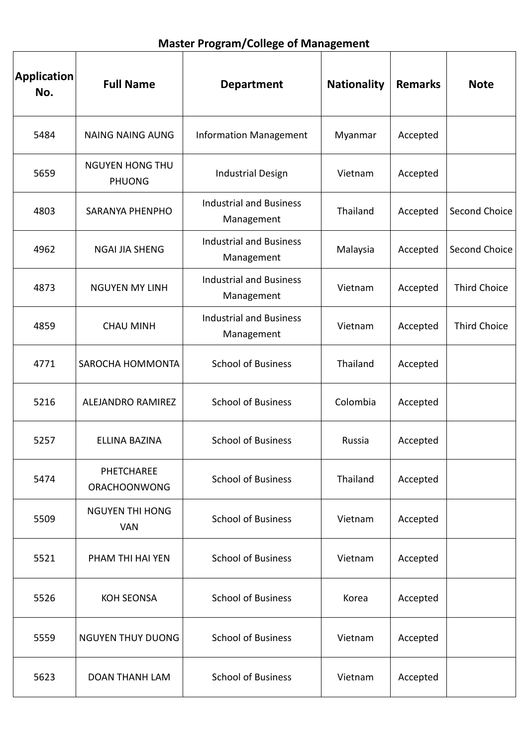| <b>Master Program/College of Management</b> |  |  |
|---------------------------------------------|--|--|
|---------------------------------------------|--|--|

| <b>Application</b><br>No. | <b>Full Name</b>                        | <b>Department</b>                            | <b>Nationality</b> | <b>Remarks</b> | <b>Note</b>         |
|---------------------------|-----------------------------------------|----------------------------------------------|--------------------|----------------|---------------------|
| 5484                      | <b>NAING NAING AUNG</b>                 | <b>Information Management</b>                | Myanmar            | Accepted       |                     |
| 5659                      | <b>NGUYEN HONG THU</b><br><b>PHUONG</b> | <b>Industrial Design</b>                     | Vietnam            | Accepted       |                     |
| 4803                      | <b>SARANYA PHENPHO</b>                  | <b>Industrial and Business</b><br>Management | Thailand           | Accepted       | Second Choice       |
| 4962                      | <b>NGAI JIA SHENG</b>                   | <b>Industrial and Business</b><br>Management | Malaysia           | Accepted       | Second Choice       |
| 4873                      | <b>NGUYEN MY LINH</b>                   | <b>Industrial and Business</b><br>Management | Vietnam            | Accepted       | <b>Third Choice</b> |
| 4859                      | <b>CHAU MINH</b>                        | <b>Industrial and Business</b><br>Management | Vietnam            | Accepted       | <b>Third Choice</b> |
| 4771                      | SAROCHA HOMMONTA                        | <b>School of Business</b>                    | Thailand           | Accepted       |                     |
| 5216                      | ALEJANDRO RAMIREZ                       | <b>School of Business</b>                    | Colombia           | Accepted       |                     |
| 5257                      | <b>ELLINA BAZINA</b>                    | <b>School of Business</b>                    | Russia             | Accepted       |                     |
| 5474                      | PHETCHAREE<br><b>ORACHOONWONG</b>       | <b>School of Business</b>                    | Thailand           | Accepted       |                     |
| 5509                      | <b>NGUYEN THI HONG</b><br><b>VAN</b>    | <b>School of Business</b>                    | Vietnam            | Accepted       |                     |
| 5521                      | PHAM THI HAI YEN                        | <b>School of Business</b>                    | Vietnam            | Accepted       |                     |
| 5526                      | <b>KOH SEONSA</b>                       | <b>School of Business</b>                    | Korea              | Accepted       |                     |
| 5559                      | <b>NGUYEN THUY DUONG</b>                | <b>School of Business</b>                    | Vietnam            | Accepted       |                     |
| 5623                      | <b>DOAN THANH LAM</b>                   | <b>School of Business</b>                    | Vietnam            | Accepted       |                     |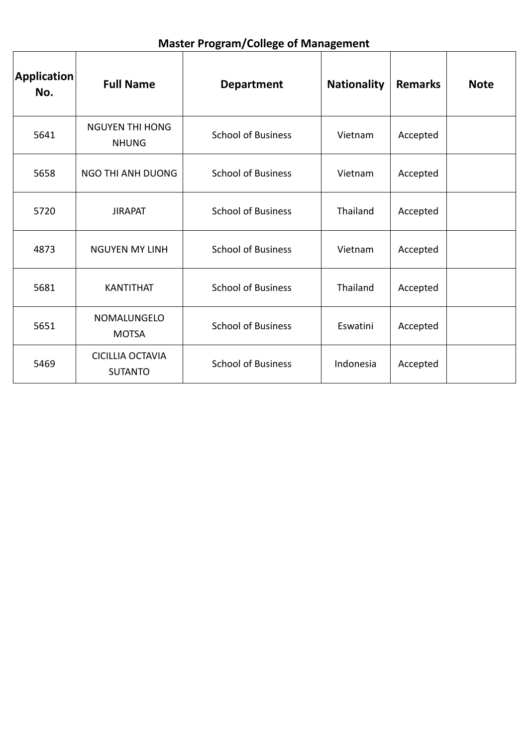| Application<br>No. | <b>Full Name</b>                          | <b>Department</b>         | <b>Nationality</b> | <b>Remarks</b> | <b>Note</b> |
|--------------------|-------------------------------------------|---------------------------|--------------------|----------------|-------------|
| 5641               | <b>NGUYEN THI HONG</b><br><b>NHUNG</b>    | <b>School of Business</b> | Vietnam            | Accepted       |             |
| 5658               | NGO THI ANH DUONG                         | <b>School of Business</b> | Vietnam            | Accepted       |             |
| 5720               | <b>JIRAPAT</b>                            | <b>School of Business</b> | Thailand           | Accepted       |             |
| 4873               | <b>NGUYEN MY LINH</b>                     | <b>School of Business</b> | Vietnam            | Accepted       |             |
| 5681               | <b>KANTITHAT</b>                          | <b>School of Business</b> | Thailand           | Accepted       |             |
| 5651               | NOMALUNGELO<br><b>MOTSA</b>               | <b>School of Business</b> | Eswatini           | Accepted       |             |
| 5469               | <b>CICILLIA OCTAVIA</b><br><b>SUTANTO</b> | <b>School of Business</b> | Indonesia          | Accepted       |             |

### **Master Program/College of Management**